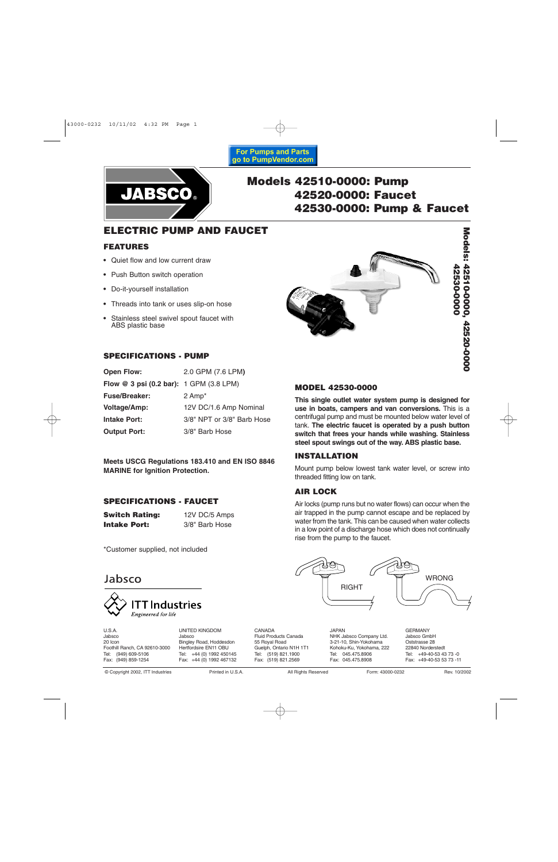### **For Pumps and Parts** go to PumpVendor.com



# **Models 42510-0000: Pump 42520-0000: Faucet 42530-0000: Pump & Faucet**

# **ELECTRIC PUMP AND FAUCET**

### **FEATURES**

- **•** Quiet flow and low current draw
- **•** Push Button switch operation
- **•** Do-it-yourself installation
- **•** Threads into tank or uses slip-on hose
- **•** Stainless steel swivel spout faucet with ABS plastic base



# Models: 42510-0000, 42520-0000 **Models: 42510-0000, 42520-0000**

### **SPECIFICATIONS - PUMP**

| <b>Open Flow:</b>                       | 2.0 GPM (7.6 LPM)          |
|-----------------------------------------|----------------------------|
| Flow @ 3 psi (0.2 bar): 1 GPM (3.8 LPM) |                            |
| <b>Fuse/Breaker:</b>                    | 2 Amp <sup>*</sup>         |
| <b>Voltage/Amp:</b>                     | 12V DC/1.6 Amp Nominal     |
| <b>Intake Port:</b>                     | 3/8" NPT or 3/8" Barb Hose |
| <b>Output Port:</b>                     | 3/8" Barb Hose             |

**Meets USCG Regulations 183.410 and EN ISO 8846 MARINE for Ignition Protection.**

### **SPECIFICATIONS - FAUCET**

**Switch Rating:** 12V DC/5 Amps **Intake Port:** 3/8" Barb Hose

\*Customer supplied, not included

# Jabsco



U.S.A. Jabsco 20 Icon Foothill Ranch, CA 92610-3000 Tel: (949) 609-5106 Fax: (949) 859-1254

Jabsco Bingley Road, Hoddesdon Hertfordsire EN11 OBU Tel: +44 (0) 1992 450145 Fax: +44 (0) 1992 467132

UNITED KINGDOM

CANADA Fluid Products Canada 55 Royal Road Guelph, Ontario N1H 1T1 Tel: (519) 821.1900 Fax: (519) 821.2569

JAPAN NHK Jabsco Company Ltd. 3-21-10, Shin-Yokohama Kohoku-Ku, Yokohama, 222 Tel: 045.475.8906 Fax: 045.475.8908

GERMANY Jabsco GmbH Oststrasse 28 22840 Norderstedt Tel: +49-40-53 43 73 -0 Fax: +49-40-53 53 73 -11

© Copyright 2002, ITT Industries Printed in U.S.A. All Rights Reserved Form: 43000-0232 Rev. 10/2002

## **MODEL 42530-0000**

**This single outlet water system pump is designed for use in boats, campers and van conversions.** This is a centrifugal pump and must be mounted below water level of tank. **The electric faucet is operated by a push button switch that frees your hands while washing. Stainless steel spout swings out of the way. ABS plastic base.**

### **INSTALLATION**

Mount pump below lowest tank water level, or screw into threaded fitting low on tank.

### **AIR LOCK**

Air locks (pump runs but no water flows) can occur when the air trapped in the pump cannot escape and be replaced by water from the tank. This can be caused when water collects in a low point of a discharge hose which does not continually rise from the pump to the faucet.